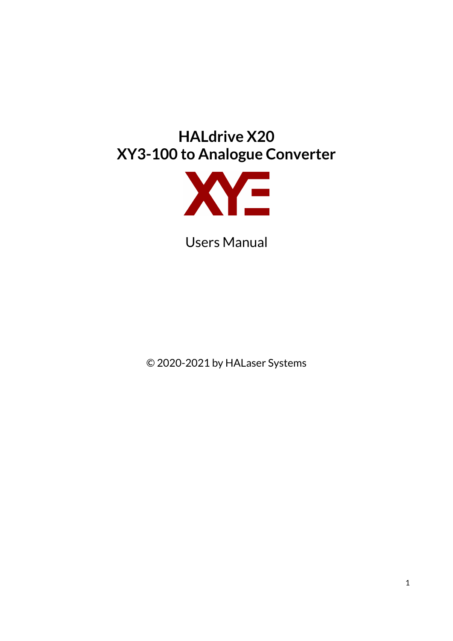# **HALdrive X20 XY3-100 to Analogue Converter**



Users Manual

© 2020-2021 by HALaser Systems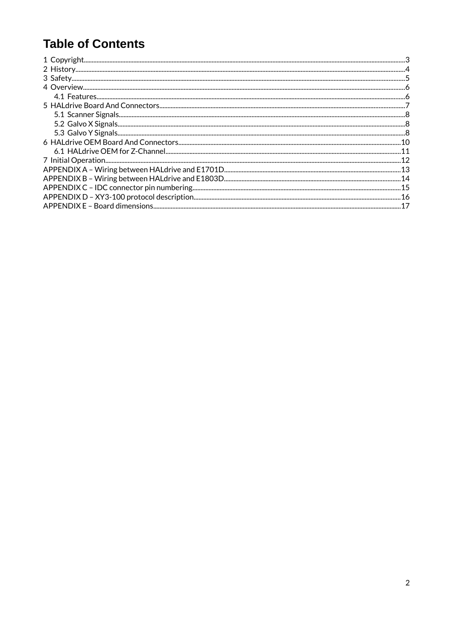### **Table of Contents**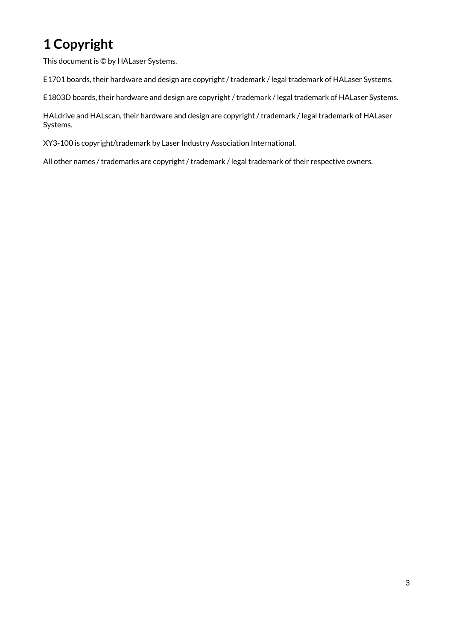# <span id="page-2-0"></span>**1 Copyright**

This document is © by HALaser Systems.

E1701 boards, their hardware and design are copyright / trademark / legal trademark of HALaser Systems.

E1803D boards, their hardware and design are copyright / trademark / legal trademark of HALaser Systems.

HALdrive and HALscan, their hardware and design are copyright / trademark / legal trademark of HALaser Systems.

XY3-100 is copyright/trademark by Laser Industry Association International.

All other names / trademarks are copyright / trademark / legal trademark of their respective owners.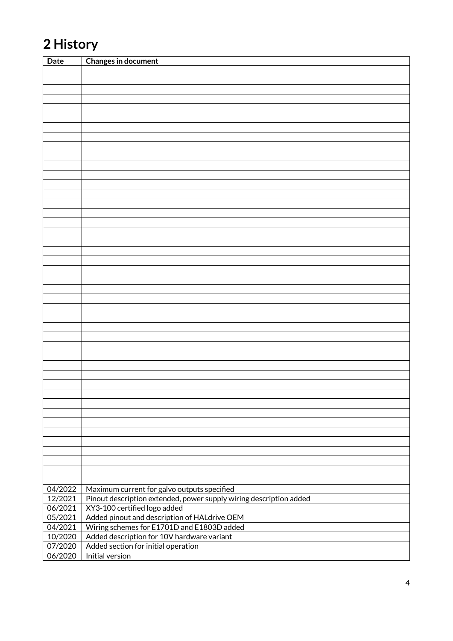# <span id="page-3-0"></span>**2 History**

| <b>Date</b> | <b>Changes in document</b>                                         |
|-------------|--------------------------------------------------------------------|
|             |                                                                    |
|             |                                                                    |
|             |                                                                    |
|             |                                                                    |
|             |                                                                    |
|             |                                                                    |
|             |                                                                    |
|             |                                                                    |
|             |                                                                    |
|             |                                                                    |
|             |                                                                    |
|             |                                                                    |
|             |                                                                    |
|             |                                                                    |
|             |                                                                    |
|             |                                                                    |
|             |                                                                    |
|             |                                                                    |
|             |                                                                    |
|             |                                                                    |
|             |                                                                    |
|             |                                                                    |
|             |                                                                    |
|             |                                                                    |
|             |                                                                    |
|             |                                                                    |
|             |                                                                    |
|             |                                                                    |
|             |                                                                    |
|             |                                                                    |
|             |                                                                    |
|             |                                                                    |
|             |                                                                    |
|             |                                                                    |
|             |                                                                    |
|             |                                                                    |
|             |                                                                    |
|             |                                                                    |
|             |                                                                    |
|             |                                                                    |
|             |                                                                    |
|             |                                                                    |
|             |                                                                    |
|             |                                                                    |
|             |                                                                    |
| 04/2022     | Maximum current for galvo outputs specified                        |
| 12/2021     | Pinout description extended, power supply wiring description added |
| 06/2021     | XY3-100 certified logo added                                       |
| 05/2021     | Added pinout and description of HALdrive OEM                       |
| 04/2021     | Wiring schemes for E1701D and E1803D added                         |
| 10/2020     | Added description for 10V hardware variant                         |
| 07/2020     | Added section for initial operation                                |
| 06/2020     | Initial version                                                    |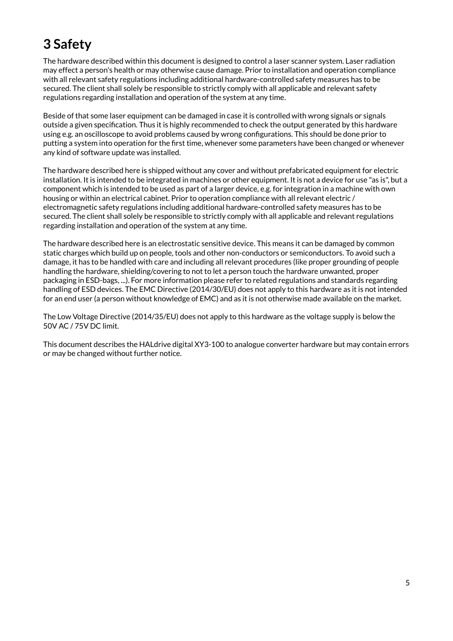## <span id="page-4-0"></span>**3 Safety**

The hardware described within this document is designed to control a laser scanner system. Laser radiation may effect a person's health or may otherwise cause damage. Prior to installation and operation compliance with all relevant safety regulations including additional hardware-controlled safety measures has to be secured. The client shall solely be responsible to strictly comply with all applicable and relevant safety regulations regarding installation and operation of the system at any time.

Beside of that some laser equipment can be damaged in case it is controlled with wrong signals or signals outside a given specification. Thus it is highly recommended to check the output generated by this hardware using e.g. an oscilloscope to avoid problems caused by wrong configurations. This should be done prior to putting a system into operation for the first time, whenever some parameters have been changed or whenever any kind of software update was installed.

The hardware described here is shipped without any cover and without prefabricated equipment for electric installation. It is intended to be integrated in machines or other equipment. It is not a device for use "as is", but a component which is intended to be used as part of a larger device, e.g. for integration in a machine with own housing or within an electrical cabinet. Prior to operation compliance with all relevant electric / electromagnetic safety regulations including additional hardware-controlled safety measures has to be secured. The client shall solely be responsible to strictly comply with all applicable and relevant regulations regarding installation and operation of the system at any time.

The hardware described here is an electrostatic sensitive device. This means it can be damaged by common static charges which build up on people, tools and other non-conductors or semiconductors. To avoid such a damage, it has to be handled with care and including all relevant procedures (like proper grounding of people handling the hardware, shielding/covering to not to let a person touch the hardware unwanted, proper packaging in ESD-bags, ...). For more information please refer to related regulations and standards regarding handling of ESD devices. The EMC Directive (2014/30/EU) does not apply to this hardware as it is not intended for an end user (a person without knowledge of EMC) and as it is not otherwise made available on the market.

The Low Voltage Directive (2014/35/EU) does not apply to this hardware as the voltage supply is below the 50V AC / 75V DC limit.

This document describes the HALdrive digital XY3-100 to analogue converter hardware but may contain errors or may be changed without further notice.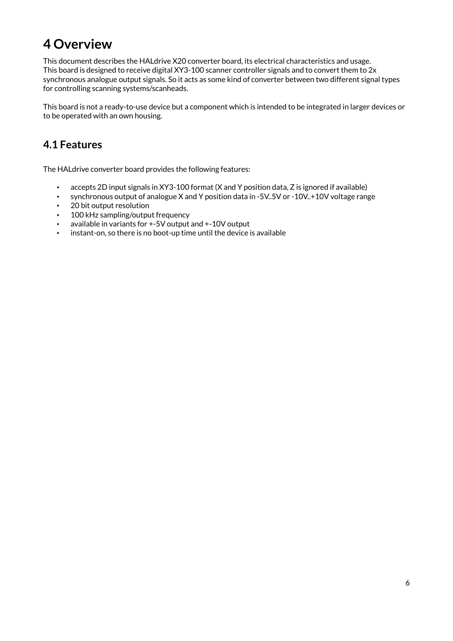## <span id="page-5-1"></span>**4 Overview**

This document describes the HALdrive X20 converter board, its electrical characteristics and usage. This board is designed to receive digital XY3-100 scanner controller signals and to convert them to 2x synchronous analogue output signals. So it acts as some kind of converter between two different signal types for controlling scanning systems/scanheads.

This board is not a ready-to-use device but a component which is intended to be integrated in larger devices or to be operated with an own housing.

#### <span id="page-5-0"></span>**4.1 Features**

The HALdrive converter board provides the following features:

- accepts 2D input signals in XY3-100 format (X and Y position data, Z is ignored if available)
- synchronous output of analogue X and Y position data in -5V..5V or -10V..+10V voltage range
- 20 bit output resolution
- 100 kHz sampling/output frequency
- available in variants for +-5V output and +-10V output
- instant-on, so there is no boot-up time until the device is available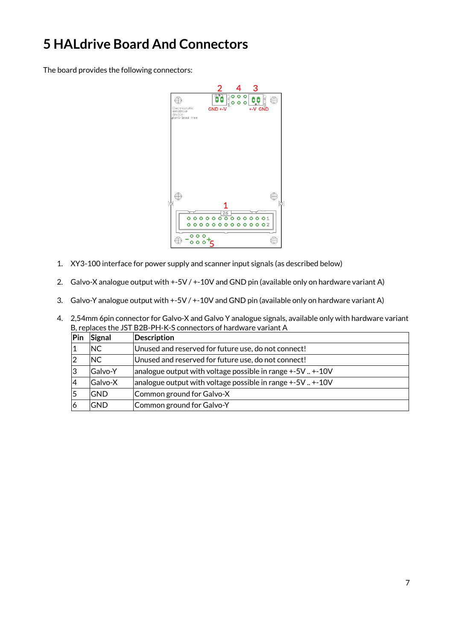## <span id="page-6-0"></span>**5 HALdrive Board And Connectors**

The board provides the following connectors:



- 1. XY3-100 interface for power supply and scanner input signals (as described below)
- 2. Galvo-X analogue output with +-5V / +-10V and GND pin (available only on hardware variant A)
- 3. Galvo-Y analogue output with +-5V / +-10V and GND pin (available only on hardware variant A)

|     |                | B, replaces the JST B2B-PH-K-S connectors of hardware variant A |
|-----|----------------|-----------------------------------------------------------------|
| Pin | Signal         | <b>Description</b>                                              |
| 1   | NC.            | Unused and reserved for future use, do not connect!             |
| 2   | <b>NC</b>      | Unused and reserved for future use, do not connect!             |
| 3   | <b>Galvo-Y</b> | analogue output with voltage possible in range $+5V$ $+10V$     |
| 4   | Galvo-X        | analogue output with voltage possible in range +-5V  +-10V      |
| 5   | <b>GND</b>     | Common ground for Galvo-X                                       |
| 6   | <b>GND</b>     | Common ground for Galvo-Y                                       |

4. 2,54mm 6pin connector for Galvo-X and Galvo Y analogue signals, available only with hardware variant B, replaces the JST B2B-PH-K-S connectors of hardware variant A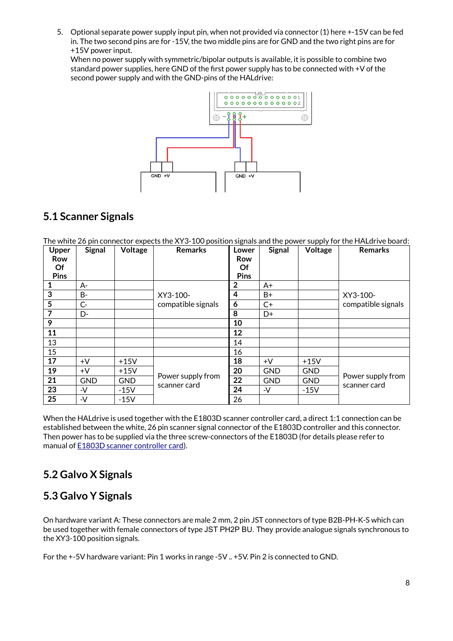5. Optional separate power supply input pin, when not provided via connector (1) here +-15V can be fed in. The two second pins are for -15V, the two middle pins are for GND and the two right pins are for +15V power input.

When no power supply with symmetric/bipolar outputs is available, it is possible to combine two standard power supplies, here GND of the first power supply has to be connected with +V of the second power supply and with the GND-pins of the HALdrive:



#### <span id="page-7-2"></span>**5.1 Scanner Signals**

The white 26 pin connector expects the XY3-100 position signals and the power supply for the HALdrive board:

| Upper<br><b>Row</b> | <b>Signal</b> | Voltage    | <b>Remarks</b>     | Lower<br>Row | <b>Signal</b> | Voltage    | <b>Remarks</b>     |
|---------------------|---------------|------------|--------------------|--------------|---------------|------------|--------------------|
| Of                  |               |            |                    | Of           |               |            |                    |
| <b>Pins</b>         |               |            |                    | Pins         |               |            |                    |
| 1                   | $A -$         |            |                    | $\mathbf{2}$ | $A+$          |            |                    |
| 3                   | B-            |            | XY3-100-           | 4            | $B+$          |            | XY3-100-           |
| 5                   | $C -$         |            | compatible signals | 6            | $C+$          |            | compatible signals |
| 7                   | D-            |            |                    | 8            | D+            |            |                    |
| 9                   |               |            |                    | 10           |               |            |                    |
| 11                  |               |            |                    | 12           |               |            |                    |
| 13                  |               |            |                    | 14           |               |            |                    |
| 15                  |               |            |                    | 16           |               |            |                    |
| 17                  | $+V$          | $+15V$     |                    | 18           | $+V$          | $+15V$     |                    |
| 19                  | $+V$          | $+15V$     |                    | 20           | <b>GND</b>    | <b>GND</b> |                    |
| 21                  | <b>GND</b>    | <b>GND</b> | Power supply from  | 22           | <b>GND</b>    | <b>GND</b> | Power supply from  |
| 23                  | $-V$          | $-15V$     | scanner card       | 24           | -V            | $-15V$     | scanner card       |
| 25                  | $-V$          | $-15V$     |                    | 26           |               |            |                    |

When the HALdrive is used together with the E1803D scanner controller card, a direct 1:1 connection can be established between the white, 26 pin scanner signal connector of the E1803D controller and this connector. Then power has to be supplied via the three screw-connectors of the E1803D (for details please refer to manual of [E1803D scanner controller card](https://halaser.systems/e1803.php)).

#### <span id="page-7-1"></span>**5.2 Galvo X Signals**

#### <span id="page-7-0"></span>**5.3 Galvo Y Signals**

On hardware variant A: These connectors are male 2 mm, 2 pin JST connectors of type B2B-PH-K-S which can be used together with female connectors of type JST PH2P BU. They provide analogue signals synchronous to the XY3-100 position signals.

For the +-5V hardware variant: Pin 1 works in range -5V .. +5V. Pin 2 is connected to GND.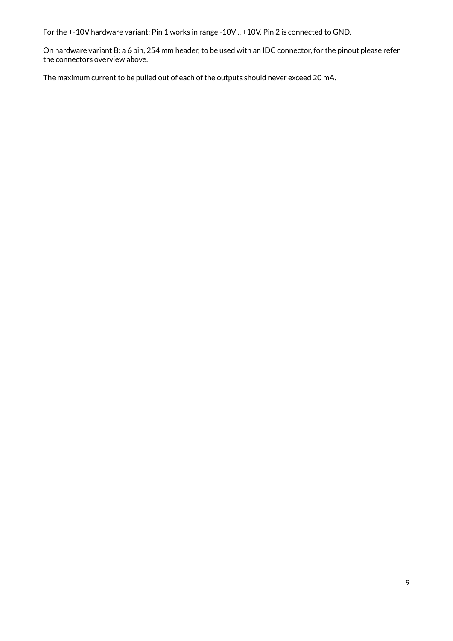For the +-10V hardware variant: Pin 1 works in range -10V .. +10V. Pin 2 is connected to GND.

On hardware variant B: a 6 pin, 254 mm header, to be used with an IDC connector, for the pinout please refer the connectors overview above.

The maximum current to be pulled out of each of the outputs should never exceed 20 mA.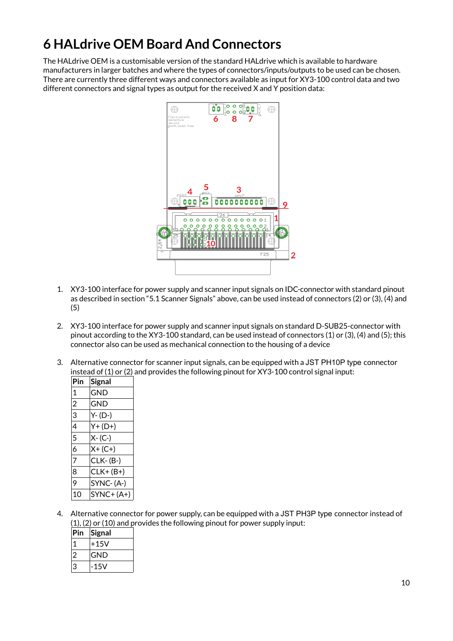## <span id="page-9-0"></span>**6 HALdrive OEM Board And Connectors**

The HALdrive OEM is a customisable version of the standard HALdrive which is available to hardware manufacturers in larger batches and where the types of connectors/inputs/outputs to be used can be chosen. There are currently three different ways and connectors available as input for XY3-100 control data and two different connectors and signal types as output for the received X and Y position data:



- 1. XY3-100 interface for power supply and scanner input signals on IDC-connector with standard pinout as described in section ["5.1 Scanner Signals"](#page-7-2) above, can be used instead of connectors (2) or (3), (4) and (5)
- 2. XY3-100 interface for power supply and scanner input signals on standard D-SUB25-connector with pinout according to the XY3-100 standard, can be used instead of connectors (1) or (3), (4) and (5); this connector also can be used as mechanical connection to the housing of a device
- 3. Alternative connector for scanner input signals, can be equipped with a JST PH10P type connector instead of (1) or (2) and provides the following pinout for XY3-100 control signal input:

| <b>Signal</b> |
|---------------|
| GND           |
| GND           |
| $Y - (D-)$    |
| $Y + (D+)$    |
| $X - (C-)$    |
| $X + (C + )$  |
| CLK-(B-)      |
| $CLK+ (B+)$   |
| SYNC-(A-)     |
| $SYNC+(A+)$   |
|               |

4. Alternative connector for power supply, can be equipped with a JST PH3P type connector instead of (1), (2) or (10) and provides the following pinout for power supply input:

| Pin | Signal |
|-----|--------|
|     | $+15V$ |
|     | GND    |
| 3   | -15V   |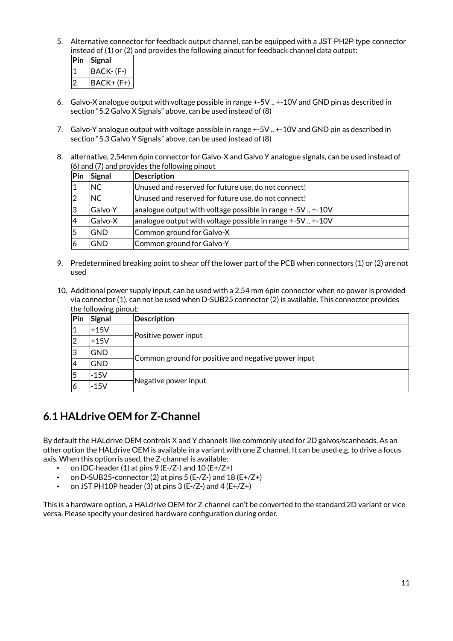5. Alternative connector for feedback output channel, can be equipped with a JST PH2P type connector instead of (1) or (2) and provides the following pinout for feedback channel data output:

| Pin | Signal     |
|-----|------------|
|     | BACK-(F-)  |
|     | BACK+ (F+) |

- 6. Galvo-X analogue output with voltage possible in range +-5V .. +-10V and GND pin as described in section "[5.2 Galvo X Signals](#page-7-1)" above, can be used instead of (8)
- 7. Galvo-Y analogue output with voltage possible in range +-5V .. +-10V and GND pin as described in section "[5.3 Galvo Y Signals"](#page-7-0) above, can be used instead of (8)
- 8. alternative, 2,54mm 6pin connector for Galvo-X and Galvo Y analogue signals, can be used instead of (6) and (7) and provides the following pinout

| Pin            | Signal     | <b>Description</b>                                          |
|----------------|------------|-------------------------------------------------------------|
|                | NC.        | Unused and reserved for future use, do not connect!         |
| 2              | NC.        | Unused and reserved for future use, do not connect!         |
| ıЗ             | Galvo-Y    | analogue output with voltage possible in range $+5V$ $+10V$ |
| $\overline{4}$ | Galvo-X    | analogue output with voltage possible in range $+5V$ $+10V$ |
| 5              | <b>GND</b> | Common ground for Galvo-X                                   |
| 6              | GND        | Common ground for Galvo-Y                                   |

- 9. Predetermined breaking point to shear off the lower part of the PCB when connectors (1) or (2) are not used
- 10. Additional power supply input, can be used with a 2,54 mm 6pin connector when no power is provided via connector (1), can not be used when D-SUB25 connector (2) is available. This connector provides the following pinout:

| Pin | ັ<br>Signal | <b>Description</b>                                  |  |  |  |
|-----|-------------|-----------------------------------------------------|--|--|--|
|     | +15V        |                                                     |  |  |  |
|     | $+15V$      | Positive power input                                |  |  |  |
| 3   | <b>GND</b>  |                                                     |  |  |  |
|     | <b>GND</b>  | Common ground for positive and negative power input |  |  |  |
|     | $-15V$      |                                                     |  |  |  |
| O   | $-15V$      | Negative power input                                |  |  |  |

#### <span id="page-10-0"></span>**6.1 HALdrive OEM for Z-Channel**

By default the HALdrive OEM controls X and Y channels like commonly used for 2D galvos/scanheads. As an other option the HALdrive OEM is available in a variant with one Z channel. It can be used e.g. to drive a focus axis. When this option is used, the Z-channel is available:

- on IDC-header (1) at pins  $9$  (E-/Z-) and  $10$  (E+/Z+)
- on D-SUB25-connector (2) at pins  $5$  (E-/Z-) and  $18$  (E+/Z+)
- on JST PH10P header (3) at pins  $3$  (E-/Z-) and  $4$  (E+/Z+)

This is a hardware option, a HALdrive OEM for Z-channel can't be converted to the standard 2D variant or vice versa. Please specify your desired hardware configuration during order.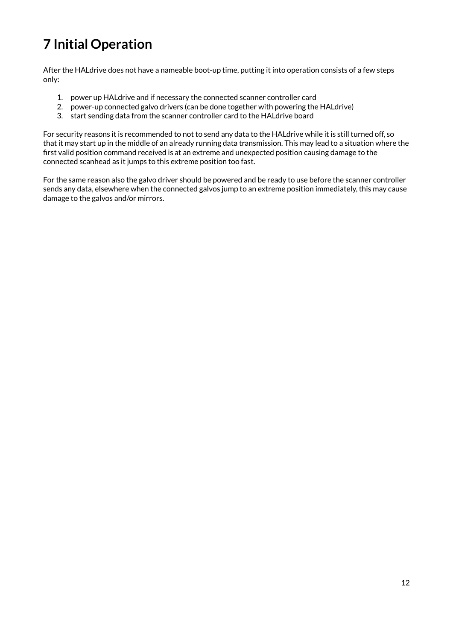# <span id="page-11-0"></span>**7 Initial Operation**

After the HALdrive does not have a nameable boot-up time, putting it into operation consists of a few steps only:

- 1. power up HALdrive and if necessary the connected scanner controller card
- 2. power-up connected galvo drivers (can be done together with powering the HALdrive)
- 3. start sending data from the scanner controller card to the HALdrive board

For security reasons it is recommended to not to send any data to the HALdrive while it is still turned off, so that it may start up in the middle of an already running data transmission. This may lead to a situation where the first valid position command received is at an extreme and unexpected position causing damage to the connected scanhead as it jumps to this extreme position too fast.

For the same reason also the galvo driver should be powered and be ready to use before the scanner controller sends any data, elsewhere when the connected galvos jump to an extreme position immediately, this may cause damage to the galvos and/or mirrors.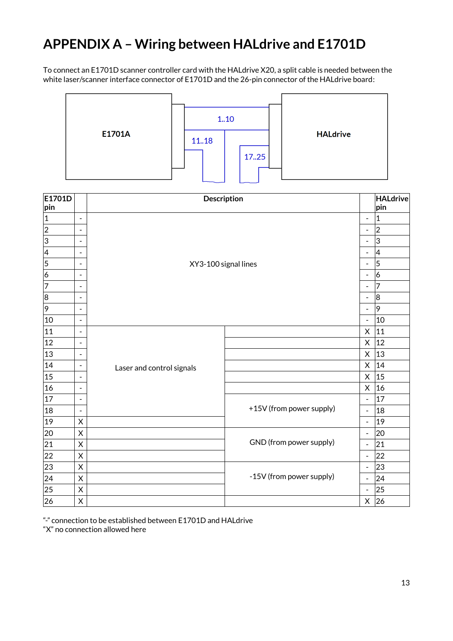### <span id="page-12-0"></span>**APPENDIX A – Wiring between HALdrive and E1701D**

To connect an E1701D scanner controller card with the HALdrive X20, a split cable is needed between the white laser/scanner interface connector of E1701D and the 26-pin connector of the HALdrive board:



| E1701D         |                              | Description               |                          |                              | <b>HALdrive</b>  |
|----------------|------------------------------|---------------------------|--------------------------|------------------------------|------------------|
| pin            |                              |                           |                          |                              | pin              |
| $\vert$ 1      | $\blacksquare$               |                           |                          | $\blacksquare$               | 1                |
| $ 2\rangle$    | $\blacksquare$               |                           |                          | $\qquad \qquad \blacksquare$ | $\boldsymbol{2}$ |
| 3              | $\qquad \qquad \blacksquare$ |                           |                          | $\overline{\phantom{a}}$     | 3                |
| 4              | $\overline{\phantom{a}}$     |                           |                          | $\overline{\phantom{a}}$     | 4                |
| $\overline{5}$ | $\overline{\phantom{a}}$     | XY3-100 signal lines      |                          | $\qquad \qquad \blacksquare$ | 5                |
| 6              | $\overline{\phantom{a}}$     |                           |                          | $\overline{\phantom{a}}$     | $\overline{6}$   |
| 7              | $\overline{\phantom{a}}$     |                           |                          | $\overline{\phantom{a}}$     | 7                |
| 8              | $\qquad \qquad \blacksquare$ |                           |                          | $\qquad \qquad \blacksquare$ | 8                |
| 9              | $\overline{\phantom{a}}$     |                           |                          | $\blacksquare$               | 9                |
| 10             | $\overline{\phantom{a}}$     |                           |                          | $\qquad \qquad \blacksquare$ | 10               |
| 11             | $\blacksquare$               |                           |                          | X                            | 11               |
| 12             | $\overline{\phantom{a}}$     |                           |                          | X                            | 12               |
| 13             | $\blacksquare$               |                           |                          | X                            | 13               |
| 14             | $\blacksquare$               | Laser and control signals |                          | $\mathsf X$                  | 14               |
| 15             | $\qquad \qquad \blacksquare$ |                           |                          | $\mathsf X$                  | 15               |
| 16             | $\overline{\phantom{a}}$     |                           |                          | X                            | 16               |
| 17             | $\blacksquare$               |                           |                          | $\qquad \qquad \blacksquare$ | 17               |
| 18             | $\overline{\phantom{a}}$     |                           | +15V (from power supply) | $\blacksquare$               | 18               |
| $ 19\rangle$   | X                            |                           |                          | $\blacksquare$               | 19               |
| 20             | X                            |                           |                          | $\blacksquare$               | 20               |
| 21             | X                            |                           | GND (from power supply)  | $\qquad \qquad \blacksquare$ | 21               |
| 22             | X                            |                           |                          | $\blacksquare$               | 22               |
| 23             | X                            |                           |                          | $\blacksquare$               | 23               |
| 24             | $\mathsf X$                  |                           | -15V (from power supply) | $\blacksquare$               | 24               |
| 25             | X                            |                           |                          | $\overline{\phantom{a}}$     | 25               |
| 26             | X                            |                           |                          | X                            | 26               |

"-" connection to be established between E1701D and HALdrive

"X" no connection allowed here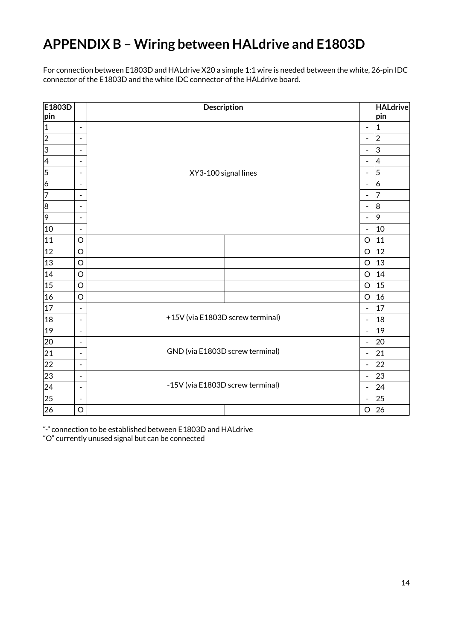# <span id="page-13-0"></span>**APPENDIX B – Wiring between HALdrive and E1803D**

For connection between E1803D and HALdrive X20 a simple 1:1 wire is needed between the white, 26-pin IDC connector of the E1803D and the white IDC connector of the HALdrive board.

| E1803D<br> pin |                              | Description                      |                              | <b>HALdrive</b><br>pin  |
|----------------|------------------------------|----------------------------------|------------------------------|-------------------------|
| $\vert$ 1      | $\overline{\phantom{a}}$     |                                  | $\frac{1}{2}$                | 1                       |
| $ 2\rangle$    | $\overline{\phantom{a}}$     |                                  | $\qquad \qquad \blacksquare$ | $\overline{2}$          |
| 3              | -                            |                                  | $\qquad \qquad \blacksquare$ | 3                       |
| $\vert 4$      | $\overline{a}$               |                                  | $\blacksquare$               | 4                       |
| $\overline{5}$ | $\overline{\phantom{a}}$     | XY3-100 signal lines             | $\blacksquare$               | $\overline{\mathbf{5}}$ |
| 6              | ۰                            |                                  | $\qquad \qquad \blacksquare$ | $\overline{6}$          |
| 7              | $\overline{\phantom{0}}$     |                                  | $\qquad \qquad \blacksquare$ | 7                       |
| 8              | $\overline{\phantom{a}}$     |                                  | $\qquad \qquad \blacksquare$ | 8                       |
| 9              | $\qquad \qquad \blacksquare$ |                                  | $\qquad \qquad \blacksquare$ | 9                       |
| 10             | $\blacksquare$               |                                  | $\frac{1}{2}$                | 10                      |
| 11             | O                            |                                  | $\circ$                      | 11                      |
| 12             | $\circ$                      |                                  | $\circ$                      | 12                      |
| 13             | $\circ$                      |                                  | $\circ$                      | 13                      |
| 14             | $\circ$                      |                                  | $\circ$                      | 14                      |
| 15             | $\circ$                      |                                  | $\circ$                      | 15                      |
| 16             | $\circ$                      |                                  | $\circ$                      | 16                      |
| 17             | $\overline{\phantom{a}}$     |                                  | $\blacksquare$               | 17                      |
| 18             | $\blacksquare$               | +15V (via E1803D screw terminal) | $\blacksquare$               | 18                      |
| $ 19\rangle$   | $\overline{\phantom{a}}$     |                                  | $\frac{1}{2}$                | 19                      |
| 20             | $\overline{\phantom{a}}$     |                                  | $\blacksquare$               | 20                      |
| 21             | $\overline{\phantom{a}}$     | GND (via E1803D screw terminal)  | $\blacksquare$               | 21                      |
| 22             | $\blacksquare$               |                                  | $\qquad \qquad \blacksquare$ | 22                      |
| 23             | $\overline{\phantom{a}}$     |                                  | $\qquad \qquad \blacksquare$ | 23                      |
| 24             | $\blacksquare$               | -15V (via E1803D screw terminal) | $\blacksquare$               | 24                      |
| 25             | $\qquad \qquad \blacksquare$ |                                  | $\qquad \qquad \blacksquare$ | 25                      |
| 26             | O                            |                                  | $\circ$                      | 26                      |

"-" connection to be established between E1803D and HALdrive

"O" currently unused signal but can be connected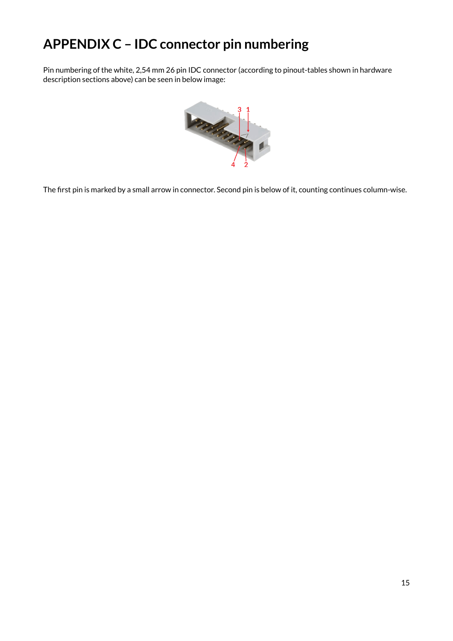### <span id="page-14-0"></span>**APPENDIX C – IDC connector pin numbering**

Pin numbering of the white, 2,54 mm 26 pin IDC connector (according to pinout-tables shown in hardware description sections above) can be seen in below image:



The first pin is marked by a small arrow in connector. Second pin is below of it, counting continues column-wise.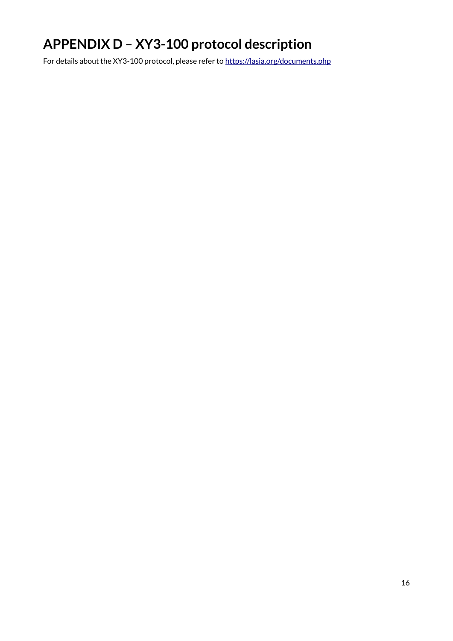# <span id="page-15-0"></span>**APPENDIX D – XY3-100 protocol description**

For details about the XY3-100 protocol, please refer to <https://lasia.org/documents.php>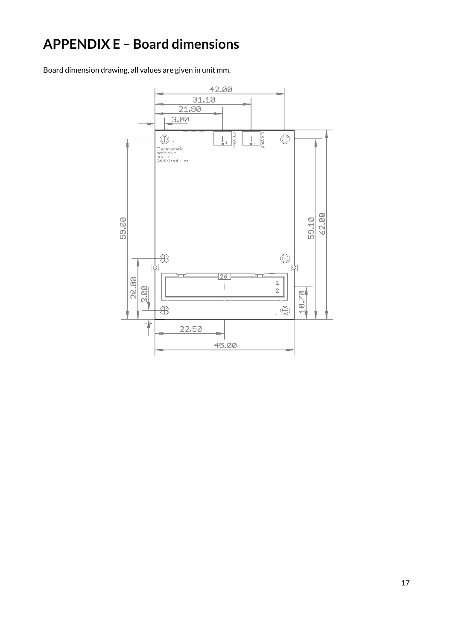## <span id="page-16-0"></span>**APPENDIX E - Board dimensions**

Board dimension drawing, all values are given in unit mm.